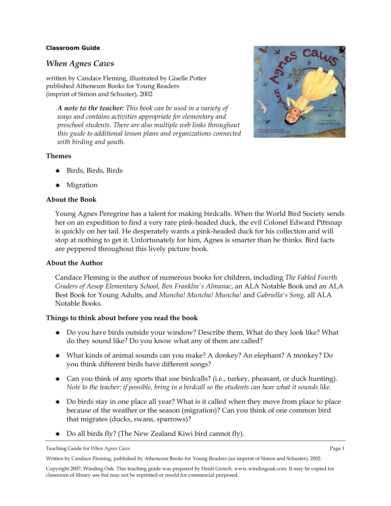### **Classroom Guide**

# *When Agnes Caws*

written by Candace Fleming, illustrated by Giselle Potter published Atheneum Books for Young Readers (imprint of Simon and Schuster), 2002

*A note to the teacher: This book can be used in a variety of ways and contains activities appropriate for elementary and preschool students. There are also multiple web links throughout this guide to additional lesson plans and organizations connected with birding and youth.* 

### **Themes**

- Birds, Birds, Birds
- Migration

### **About the Book**

Young Agnes Peregrine has a talent for making birdcalls. When the World Bird Society sends her on an expedition to find a very rare pink-headed duck, the evil Colonel Edward Pittsnap is quickly on her tail. He desperately wants a pink-headed duck for his collection and will stop at nothing to get it. Unfortunately for him, Agnes is smarter than he thinks. Bird facts are peppered throughout this lively picture book.

### **About the Author**

Candace Fleming is the author of numerous books for children, including *The Fabled Fourth Graders of Aesop Elementary School, Ben Franklin's Almanac*, an ALA Notable Book and an ALA Best Book for Young Adults, and *Muncha! Muncha! Muncha!* and *Gabriella's Song,* all ALA Notable Books.

### **Things to think about before you read the book**

- Do you have birds outside your window? Describe them. What do they look like? What do they sound like? Do you know what any of them are called?
- What kinds of animal sounds can you make? A donkey? An elephant? A monkey? Do you think different birds have different songs?
- Can you think of any sports that use birdcalls? (i.e., turkey, pheasant, or duck hunting). *Note to the teacher: if possible, bring in a birdcall so the students can hear what it sounds like.*
- Do birds stay in one place all year? What is it called when they move from place to place because of the weather or the season (migration)? Can you think of one common bird that migrates (ducks, swans, sparrows)?
- Do all birds fly? (The New Zealand Kiwi bird cannot fly).

Written by Candace Fleming, published by Atheneum Books for Young Readers (an imprint of Simon and Schuster), 2002.



Teaching Guide for *When Agnes Caws* Page 1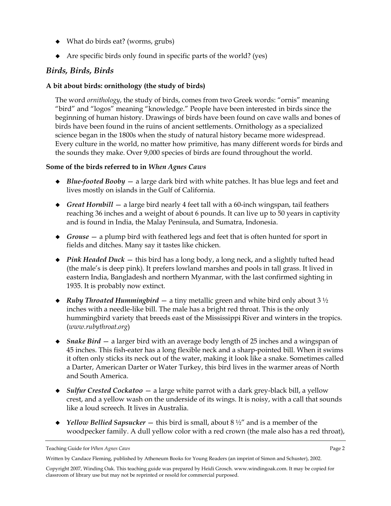- What do birds eat? (worms, grubs)
- $\blacklozenge$  Are specific birds only found in specific parts of the world? (yes)

# *Birds, Birds, Birds*

# **A bit about birds: ornithology (the study of birds)**

The word *ornithology*, the study of birds, comes from two Greek words: "ornis" meaning "bird" and "logos" meaning "knowledge." People have been interested in birds since the beginning of human history. Drawings of birds have been found on cave walls and bones of birds have been found in the ruins of ancient settlements. Ornithology as a specialized science began in the 1800s when the study of natural history became more widespread. Every culture in the world, no matter how primitive, has many different words for birds and the sounds they make. Over 9,000 species of birds are found throughout the world.

## **Some of the birds referred to in** *When Agnes Caws*

- ◆ *Blue-footed Booby* a large dark bird with white patches. It has blue legs and feet and lives mostly on islands in the Gulf of California.
- ◆ *Great Hornbill* a large bird nearly 4 feet tall with a 60-inch wingspan, tail feathers reaching 36 inches and a weight of about 6 pounds. It can live up to 50 years in captivity and is found in India, the Malay Peninsula, and Sumatra, Indonesia.
- ◆ *Grouse* a plump bird with feathered legs and feet that is often hunted for sport in fields and ditches. Many say it tastes like chicken.
- ◆ *Pink Headed Duck* this bird has a long body, a long neck, and a slightly tufted head (the male's is deep pink). It prefers lowland marshes and pools in tall grass. It lived in eastern India, Bangladesh and northern Myanmar, with the last confirmed sighting in 1935. It is probably now extinct.
- ◆ *Ruby Throated Hummingbird* a tiny metallic green and white bird only about 3 ½ inches with a needle-like bill. The male has a bright red throat. This is the only hummingbird variety that breeds east of the Mississippi River and winters in the tropics. (*www.rubythroat.org*)
- ◆ *Snake Bird* a larger bird with an average body length of 25 inches and a wingspan of 45 inches. This fish-eater has a long flexible neck and a sharp-pointed bill. When it swims it often only sticks its neck out of the water, making it look like a snake. Sometimes called a Darter, American Darter or Water Turkey, this bird lives in the warmer areas of North and South America.
- *Sulfur Crested Cockatoo* a large white parrot with a dark grey-black bill, a yellow crest, and a yellow wash on the underside of its wings. It is noisy, with a call that sounds like a loud screech. It lives in Australia.
- *Yellow Bellied Sapsucker* this bird is small, about 8 ½" and is a member of the woodpecker family. A dull yellow color with a red crown (the male also has a red throat),

Teaching Guide for *When Agnes Caws* Page 2

Written by Candace Fleming, published by Atheneum Books for Young Readers (an imprint of Simon and Schuster), 2002.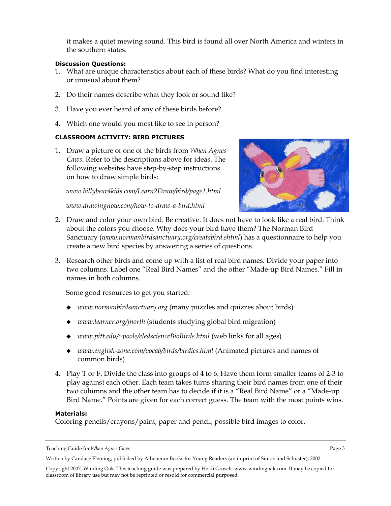it makes a quiet mewing sound. This bird is found all over North America and winters in the southern states.

### **Discussion Questions:**

- 1. What are unique characteristics about each of these birds? What do you find interesting or unusual about them?
- 2. Do their names describe what they look or sound like?
- 3. Have you ever heard of any of these birds before?
- 4. Which one would you most like to see in person?

### **CLASSROOM ACTIVITY: BIRD PICTURES**

1. Draw a picture of one of the birds from *When Agnes Caws*. Refer to the descriptions above for ideas. The following websites have step-by-step instructions on how to draw simple birds:

*www.billybear4kids.com/Learn2Draw/bird/page1.html* 

*www.drawingnow.com/how-to-draw-a-bird.html* 



- 2. Draw and color your own bird. Be creative. It does not have to look like a real bird. Think about the colors you choose. Why does your bird have them? The Norman Bird Sanctuary (*www.normanbirdsanctuary.org/creatabird.shtml*) has a questionnaire to help you create a new bird species by answering a series of questions.
- 3. Research other birds and come up with a list of real bird names. Divide your paper into two columns. Label one "Real Bird Names" and the other "Made-up Bird Names." Fill in names in both columns.

Some good resources to get you started:

- *www.normanbirdsanctuary.org* (many puzzles and quizzes about birds)
- *www.learner.org/jnorth* (students studying global bird migration)
- *www.pitt.edu/~poole/eledscienceBioBirds.html* (web links for all ages)
- *www.english-zone.com/vocab/birds/birdies.html* (Animated pictures and names of common birds)
- 4. Play T or F. Divide the class into groups of 4 to 6. Have them form smaller teams of 2-3 to play against each other. Each team takes turns sharing their bird names from one of their two columns and the other team has to decide if it is a "Real Bird Name" or a "Made-up Bird Name." Points are given for each correct guess. The team with the most points wins.

#### **Materials:**

Coloring pencils/crayons/paint, paper and pencil, possible bird images to color.

Written by Candace Fleming, published by Atheneum Books for Young Readers (an imprint of Simon and Schuster), 2002.

Teaching Guide for *When Agnes Caws* Page 3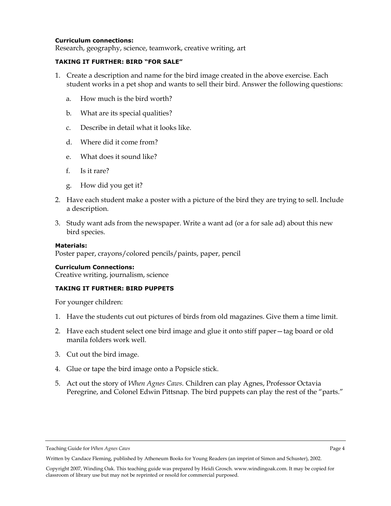#### **Curriculum connections:**

Research, geography, science, teamwork, creative writing, art

#### **TAKING IT FURTHER: BIRD "FOR SALE"**

- 1. Create a description and name for the bird image created in the above exercise. Each student works in a pet shop and wants to sell their bird. Answer the following questions:
	- a. How much is the bird worth?
	- b. What are its special qualities?
	- c. Describe in detail what it looks like.
	- d. Where did it come from?
	- e. What does it sound like?
	- f. Is it rare?
	- g. How did you get it?
- 2. Have each student make a poster with a picture of the bird they are trying to sell. Include a description.
- 3. Study want ads from the newspaper. Write a want ad (or a for sale ad) about this new bird species.

#### **Materials:**

Poster paper, crayons/colored pencils/paints, paper, pencil

### **Curriculum Connections:**

Creative writing, journalism, science

#### **TAKING IT FURTHER: BIRD PUPPETS**

For younger children:

- 1. Have the students cut out pictures of birds from old magazines. Give them a time limit.
- 2. Have each student select one bird image and glue it onto stiff paper—tag board or old manila folders work well.
- 3. Cut out the bird image.
- 4. Glue or tape the bird image onto a Popsicle stick.
- 5. Act out the story of *When Agnes Caws.* Children can play Agnes, Professor Octavia Peregrine, and Colonel Edwin Pittsnap. The bird puppets can play the rest of the "parts."

Teaching Guide for *When Agnes Caws* Page 4

Written by Candace Fleming, published by Atheneum Books for Young Readers (an imprint of Simon and Schuster), 2002.

Copyright 2007, Winding Oak. This teaching guide was prepared by Heidi Grosch. www.windingoak.com. It may be copied for classroom of library use but may not be reprinted or resold for commercial purposed.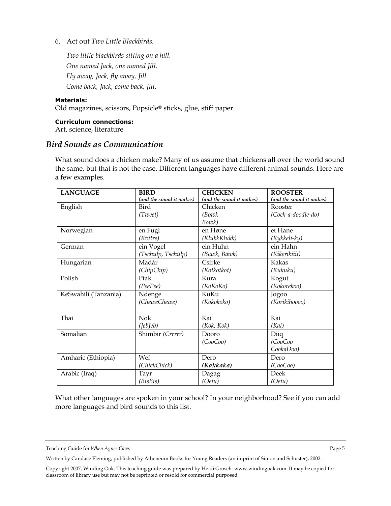6. Act out *Two Little Blackbirds.*

*Two little blackbirds sitting on a hill. One named Jack, one named Jill. Fly away, Jack, fly away, Jill. Come back, Jack, come back, Jill.* 

#### **Materials:**

Old magazines, scissors, Popsicle® sticks, glue, stiff paper

**Curriculum connections:**  Art, science, literature

### *Bird Sounds as Communication*

What sound does a chicken make? Many of us assume that chickens all over the world sound the same, but that is not the case. Different languages have different animal sounds. Here are a few examples.

| <b>LANGUAGE</b>      | <b>BIRD</b>              | <b>CHICKEN</b>           | <b>ROOSTER</b>           |
|----------------------|--------------------------|--------------------------|--------------------------|
|                      | (and the sound it makes) | (and the sound it makes) | (and the sound it makes) |
| English              | Bird                     | Chicken                  | Rooster                  |
|                      | (Tweet)                  | (Bowk)                   | (Cock-a-doodle-do)       |
|                      |                          | Bowk)                    |                          |
| Norwegian            | en Fugl                  | en Høne                  | et Hane                  |
|                      | (Kvitre)                 | (KlukkKlukk)             | $(Kykkeli$ - $ky)$       |
| German               | ein Vogel                | ein Huhn                 | ein Hahn                 |
|                      | (Tschülp, Tschülp)       | (Bawk, Bawk)             | (Kikerikiiii)            |
| Hungarian            | Madár                    | Csirke                   | Kakas                    |
|                      | (ChipChip)               | (Kotkotkot)              | (Kukuku)                 |
| Polish               | Ptak                     | Kura                     | Kogut                    |
|                      | (PeePee)                 | (KoKoKo)                 | (Kokorekoo)              |
| KeSwahili (Tanzania) | Ndenge                   | KuKu                     | Jogoo                    |
|                      | (CheweChewe)             | (Kokokoko)               | (Korikihoooo)            |
|                      |                          |                          |                          |
| Thai                 | <b>Nok</b>               | Kai                      | Kai                      |
|                      | (leb[eb])                | (Kok, Kok)               | (Kai)                    |
| Somalian             | Shimbir (Crrrrr)         | Dooro                    | Diiq                     |
|                      |                          | (CooCoo)                 | (CooCo                   |
|                      |                          |                          | CookaDoo)                |
| Amharic (Ethiopia)   | Wef                      | Dero                     | Dero                     |
|                      | (ChickChick)             | (Kakkaka)                | (CooCoo)                 |
| Arabic (Iraq)        | Tayr                     | Dagag                    | Deek                     |
|                      | (BisBis)                 | (Oeiu)                   | (Oeiu)                   |

What other languages are spoken in your school? In your neighborhood? See if you can add more languages and bird sounds to this list.

Teaching Guide for *When Agnes Caws* Page 5

Written by Candace Fleming, published by Atheneum Books for Young Readers (an imprint of Simon and Schuster), 2002.

Copyright 2007, Winding Oak. This teaching guide was prepared by Heidi Grosch. www.windingoak.com. It may be copied for classroom of library use but may not be reprinted or resold for commercial purposed.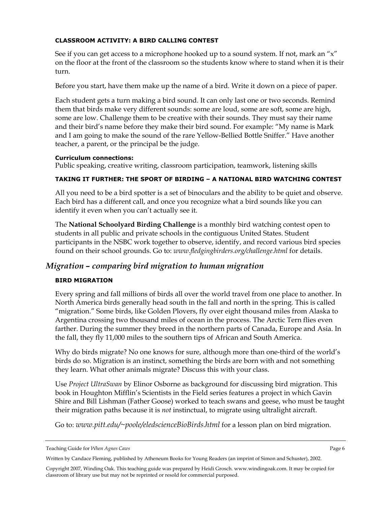## **CLASSROOM ACTIVITY: A BIRD CALLING CONTEST**

See if you can get access to a microphone hooked up to a sound system. If not, mark an "x" on the floor at the front of the classroom so the students know where to stand when it is their turn.

Before you start, have them make up the name of a bird. Write it down on a piece of paper.

Each student gets a turn making a bird sound. It can only last one or two seconds. Remind them that birds make very different sounds: some are loud, some are soft, some are high, some are low. Challenge them to be creative with their sounds. They must say their name and their bird's name before they make their bird sound. For example: "My name is Mark and I am going to make the sound of the rare Yellow-Bellied Bottle Sniffer." Have another teacher, a parent, or the principal be the judge.

### **Curriculum connections:**

Public speaking, creative writing, classroom participation, teamwork, listening skills

### **TAKING IT FURTHER: THE SPORT OF BIRDING – A NATIONAL BIRD WATCHING CONTEST**

All you need to be a bird spotter is a set of binoculars and the ability to be quiet and observe. Each bird has a different call, and once you recognize what a bird sounds like you can identify it even when you can't actually see it.

The **National Schoolyard Birding Challenge** is a monthly bird watching contest open to students in all public and private schools in the contiguous United States. Student participants in the NSBC work together to observe, identify, and record various bird species found on their school grounds. Go to: *www.fledgingbirders.org/challenge.html* for details.

# *Migration – comparing bird migration to human migration*

### **BIRD MIGRATION**

Every spring and fall millions of birds all over the world travel from one place to another. In North America birds generally head south in the fall and north in the spring. This is called "migration." Some birds, like Golden Plovers, fly over eight thousand miles from Alaska to Argentina crossing two thousand miles of ocean in the process. The Arctic Tern flies even farther. During the summer they breed in the northern parts of Canada, Europe and Asia. In the fall, they fly 11,000 miles to the southern tips of African and South America.

Why do birds migrate? No one knows for sure, although more than one-third of the world's birds do so. Migration is an instinct, something the birds are born with and not something they learn. What other animals migrate? Discuss this with your class.

Use *Project UltraSwan* by Elinor Osborne as background for discussing bird migration. This book in Houghton Mifflin's Scientists in the Field series features a project in which Gavin Shire and Bill Lishman (Father Goose) worked to teach swans and geese, who must be taught their migration paths because it is *not* instinctual, to migrate using ultralight aircraft.

Go to: *www.pitt.edu/~poole/eledscienceBioBirds.html* for a lesson plan on bird migration.

Teaching Guide for *When Agnes Caws* Page 6

Written by Candace Fleming, published by Atheneum Books for Young Readers (an imprint of Simon and Schuster), 2002.

Copyright 2007, Winding Oak. This teaching guide was prepared by Heidi Grosch. www.windingoak.com. It may be copied for classroom of library use but may not be reprinted or resold for commercial purposed.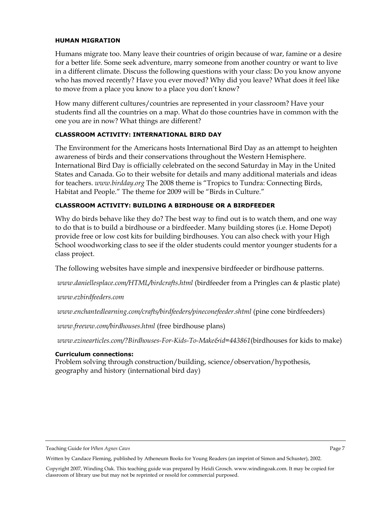#### **HUMAN MIGRATION**

Humans migrate too. Many leave their countries of origin because of war, famine or a desire for a better life. Some seek adventure, marry someone from another country or want to live in a different climate. Discuss the following questions with your class: Do you know anyone who has moved recently? Have you ever moved? Why did you leave? What does it feel like to move from a place you know to a place you don't know?

How many different cultures/countries are represented in your classroom? Have your students find all the countries on a map. What do those countries have in common with the one you are in now? What things are different?

#### **CLASSROOM ACTIVITY: INTERNATIONAL BIRD DAY**

The Environment for the Americans hosts International Bird Day as an attempt to heighten awareness of birds and their conservations throughout the Western Hemisphere. International Bird Day is officially celebrated on the second Saturday in May in the United States and Canada. Go to their website for details and many additional materials and ideas for teachers. *www.birdday.org* The 2008 theme is "Tropics to Tundra: Connecting Birds, Habitat and People." The theme for 2009 will be "Birds in Culture."

### **CLASSROOM ACTIVITY: BUILDING A BIRDHOUSE OR A BIRDFEEDER**

Why do birds behave like they do? The best way to find out is to watch them, and one way to do that is to build a birdhouse or a birdfeeder. Many building stores (i.e. Home Depot) provide free or low cost kits for building birdhouses. You can also check with your High School woodworking class to see if the older students could mentor younger students for a class project.

The following websites have simple and inexpensive birdfeeder or birdhouse patterns.

*www.daniellesplace.com/HTML/birdcrafts.html* (birdfeeder from a Pringles can & plastic plate)

*www.ezbirdfeeders.com* 

*www.enchantedlearning.com/crafts/birdfeeders/pineconefeeder.shtml* (pine cone birdfeeders)

*www.freeww.com/birdhouses.html* (free birdhouse plans)

*www.ezinearticles.com/?Birdhouses-For-Kids-To-Make&id=443861*(birdhouses for kids to make)

#### **Curriculum connections:**

Problem solving through construction/building, science/observation/hypothesis, geography and history (international bird day)

Teaching Guide for *When Agnes Caws* Page 7

Written by Candace Fleming, published by Atheneum Books for Young Readers (an imprint of Simon and Schuster), 2002.

Copyright 2007, Winding Oak. This teaching guide was prepared by Heidi Grosch. www.windingoak.com. It may be copied for classroom of library use but may not be reprinted or resold for commercial purposed.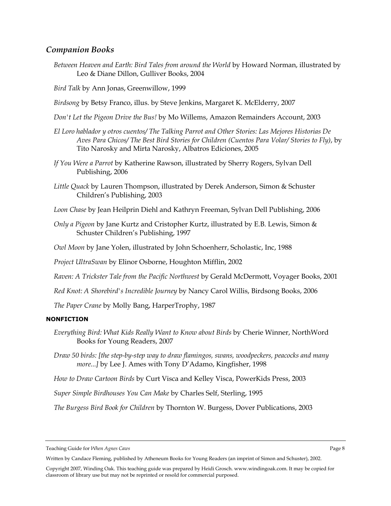## *Companion Books*

*Between Heaven and Earth: Bird Tales from around the World* by Howard Norman, illustrated by Leo & Diane Dillon, Gulliver Books, 2004

*Bird Talk* by Ann Jonas, Greenwillow, 1999

*Birdsong* by Betsy Franco, illus. by Steve Jenkins, Margaret K. McElderry, 2007

- *Don't Let the Pigeon Drive the Bus!* by Mo Willems, Amazon Remainders Account, 2003
- *El Loro hablador y otros cuentos/ The Talking Parrot and Other Stories: Las Mejores Historias De Aves Para Chicos/ The Best Bird Stories for Children (Cuentos Para Volar/ Stories to Fly)*, by Tito Narosky and Mirta Narosky, Albatros Ediciones, 2005
- *If You Were a Parrot* by Katherine Rawson, illustrated by Sherry Rogers, Sylvan Dell Publishing, 2006
- *Little Quack* by Lauren Thompson, illustrated by Derek Anderson, Simon & Schuster Children's Publishing, 2003
- *Loon Chase* by Jean Heilprin Diehl and Kathryn Freeman, Sylvan Dell Publishing, 2006
- *Only a Pigeon* by Jane Kurtz and Cristopher Kurtz, illustrated by E.B. Lewis, Simon & Schuster Children's Publishing, 1997
- *Owl Moon* by Jane Yolen, illustrated by John Schoenherr, Scholastic, Inc, 1988

*Project UltraSwan* by Elinor Osborne, Houghton Mifflin, 2002

*Raven: A Trickster Tale from the Pacific Northwest* by Gerald McDermott, Voyager Books, 2001

*Red Knot: A Shorebird's Incredible Journey* by Nancy Carol Willis, Birdsong Books, 2006

*The Paper Crane* by Molly Bang, HarperTrophy, 1987

#### **NONFICTION**

- *Everything Bird: What Kids Really Want to Know about Birds* by Cherie Winner, NorthWord Books for Young Readers, 2007
- *Draw 50 birds: [the step-by-step way to draw flamingos, swans, woodpeckers, peacocks and many more...]* by Lee J. Ames with Tony D'Adamo, Kingfisher, 1998
- *How to Draw Cartoon Birds* by Curt Visca and Kelley Visca, PowerKids Press, 2003

*Super Simple Birdhouses You Can Make* by Charles Self, Sterling, 1995

*The Burgess Bird Book for Children* by Thornton W. Burgess, Dover Publications, 2003

Teaching Guide for *When Agnes Caws* Page 8

Written by Candace Fleming, published by Atheneum Books for Young Readers (an imprint of Simon and Schuster), 2002.

Copyright 2007, Winding Oak. This teaching guide was prepared by Heidi Grosch. www.windingoak.com. It may be copied for classroom of library use but may not be reprinted or resold for commercial purposed.